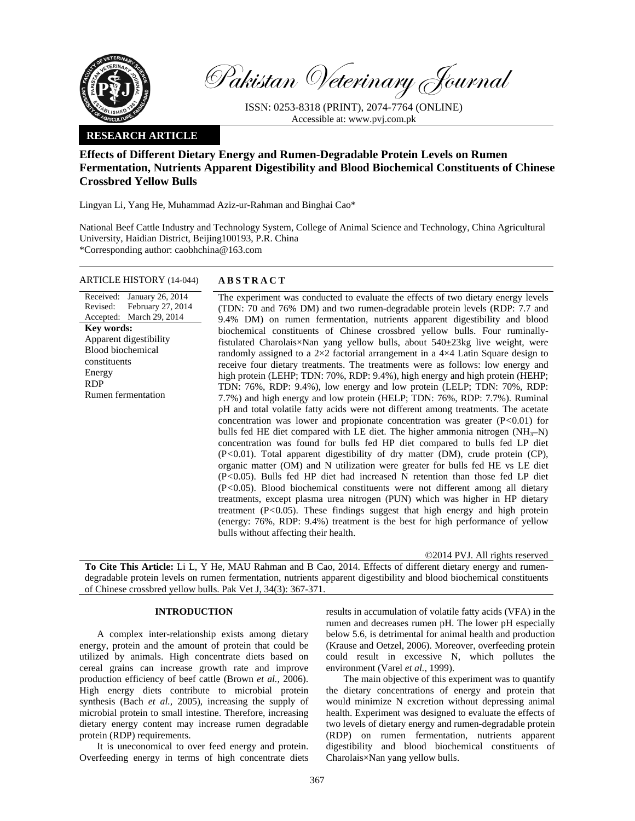

Pakistan Veterinary Journal

ISSN: 0253-8318 (PRINT), 2074-7764 (ONLINE) Accessible at: www.pvj.com.pk

## **RESEARCH ARTICLE**

# **Effects of Different Dietary Energy and Rumen-Degradable Protein Levels on Rumen Fermentation, Nutrients Apparent Digestibility and Blood Biochemical Constituents of Chinese Crossbred Yellow Bulls**

Lingyan Li, Yang He, Muhammad Aziz-ur-Rahman and Binghai Cao\*

National Beef Cattle Industry and Technology System, College of Animal Science and Technology, China Agricultural University, Haidian District, Beijing100193, P.R. China \*Corresponding author: caobhchina@163.com

### ARTICLE HISTORY (14-044) **ABSTRACT**

Received: January 26, 2014 Revised: Accepted: March 29, 2014 February 27, 2014 **Key words:**  Apparent digestibility Blood biochemical constituents Energy RDP Rumen fermentation

 The experiment was conducted to evaluate the effects of two dietary energy levels (TDN: 70 and 76% DM) and two rumen-degradable protein levels (RDP: 7.7 and 9.4% DM) on rumen fermentation, nutrients apparent digestibility and blood biochemical constituents of Chinese crossbred yellow bulls. Four ruminallyfistulated Charolais×Nan yang yellow bulls, about 540±23kg live weight, were randomly assigned to a  $2\times2$  factorial arrangement in a  $4\times4$  Latin Square design to receive four dietary treatments. The treatments were as follows: low energy and high protein (LEHP; TDN: 70%, RDP: 9.4%), high energy and high protein (HEHP; TDN: 76%, RDP: 9.4%), low energy and low protein (LELP; TDN: 70%, RDP: 7.7%) and high energy and low protein (HELP; TDN: 76%, RDP: 7.7%). Ruminal pH and total volatile fatty acids were not different among treatments. The acetate concentration was lower and propionate concentration was greater (P*<*0.01) for bulls fed HE diet compared with LE diet. The higher ammonia nitrogen  $(NH_3-N)$ concentration was found for bulls fed HP diet compared to bulls fed LP diet (P*<*0.01). Total apparent digestibility of dry matter (DM), crude protein (CP), organic matter (OM) and N utilization were greater for bulls fed HE vs LE diet (P*<*0.05). Bulls fed HP diet had increased N retention than those fed LP diet (P*<*0.05). Blood biochemical constituents were not different among all dietary treatments, except plasma urea nitrogen (PUN) which was higher in HP dietary treatment (P*<*0.05). These findings suggest that high energy and high protein (energy: 76%, RDP: 9.4%) treatment is the best for high performance of yellow bulls without affecting their health.

©2014 PVJ. All rights reserved

**To Cite This Article:** Li L, Y He, MAU Rahman and B Cao, 2014. Effects of different dietary energy and rumendegradable protein levels on rumen fermentation, nutrients apparent digestibility and blood biochemical constituents of Chinese crossbred yellow bulls. Pak Vet J, 34(3): 367-371.

## **INTRODUCTION**

A complex inter-relationship exists among dietary energy, protein and the amount of protein that could be utilized by animals. High concentrate diets based on cereal grains can increase growth rate and improve production efficiency of beef cattle (Brown *et al.,* 2006). High energy diets contribute to microbial protein synthesis (Bach *et al.,* 2005), increasing the supply of microbial protein to small intestine. Therefore, increasing dietary energy content may increase rumen degradable protein (RDP) requirements.

It is uneconomical to over feed energy and protein. Overfeeding energy in terms of high concentrate diets results in accumulation of volatile fatty acids (VFA) in the rumen and decreases rumen pH. The lower pH especially below 5.6, is detrimental for animal health and production (Krause and Oetzel, 2006). Moreover, overfeeding protein could result in excessive N, which pollutes the environment (Varel *et al.,* 1999).

The main objective of this experiment was to quantify the dietary concentrations of energy and protein that would minimize N excretion without depressing animal health. Experiment was designed to evaluate the effects of two levels of dietary energy and rumen-degradable protein (RDP) on rumen fermentation, nutrients apparent digestibility and blood biochemical constituents of Charolais×Nan yang yellow bulls.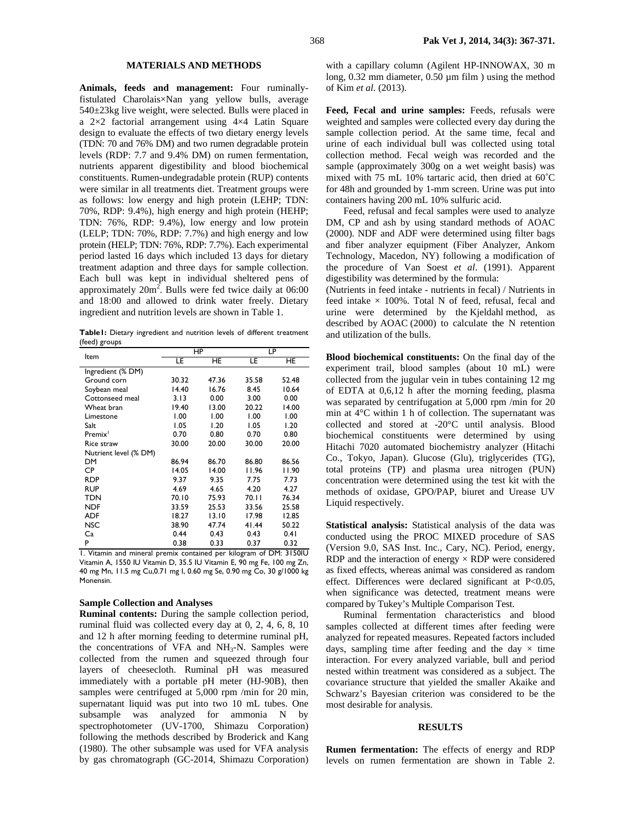#### **MATERIALS AND METHODS**

**Animals, feeds and management:** Four ruminallyfistulated Charolais×Nan yang yellow bulls, average 540±23kg live weight, were selected. Bulls were placed in a 2×2 factorial arrangement using 4×4 Latin Square design to evaluate the effects of two dietary energy levels (TDN: 70 and 76% DM) and two rumen degradable protein levels (RDP: 7.7 and 9.4% DM) on rumen fermentation, nutrients apparent digestibility and blood biochemical constituents. Rumen-undegradable protein (RUP) contents were similar in all treatments diet. Treatment groups were as follows: low energy and high protein (LEHP; TDN: 70%, RDP: 9.4%), high energy and high protein (HEHP; TDN: 76%, RDP: 9.4%), low energy and low protein (LELP; TDN: 70%, RDP: 7.7%) and high energy and low protein (HELP; TDN: 76%, RDP: 7.7%). Each experimental period lasted 16 days which included 13 days for dietary treatment adaption and three days for sample collection. Each bull was kept in individual sheltered pens of approximately  $20m^2$ . Bulls were fed twice daily at 06:00 and 18:00 and allowed to drink water freely. Dietary ingredient and nutrition levels are shown in Table 1.

**Table1:** Dietary ingredient and nutrition levels of different treatment (feed) groups

| Item                  |       | ΗP    | LP    |       |  |  |
|-----------------------|-------|-------|-------|-------|--|--|
|                       | LE    | HE    | LE    | HE.   |  |  |
| Ingredient (% DM)     |       |       |       |       |  |  |
| Ground corn           | 30.32 | 47.36 | 35.58 | 52.48 |  |  |
| Soybean meal          | 14.40 | 16.76 | 8.45  | 10.64 |  |  |
| Cottonseed meal       | 3.13  | 0.00  | 3.00  | 0.00  |  |  |
| Wheat bran            | 19.40 | 13.00 | 20.22 | 14.00 |  |  |
| Limestone             | 1.00  | 1.00  | 1.00  | 1.00  |  |  |
| Salt                  | 1.05  | 1.20  | 1.05  | 1.20  |  |  |
| Premix <sup>1</sup>   | 0.70  | 0.80  | 0.70  | 0.80  |  |  |
| Rice straw            | 30.00 | 20.00 | 30.00 | 20.00 |  |  |
| Nutrient level (% DM) |       |       |       |       |  |  |
| DM                    | 86.94 | 86.70 | 86.80 | 86.56 |  |  |
| CP                    | 14.05 | 14.00 | 11.96 | 11.90 |  |  |
| <b>RDP</b>            | 9.37  | 9.35  | 7.75  | 7.73  |  |  |
| <b>RUP</b>            | 4.69  | 4.65  | 4.20  | 4.27  |  |  |
| <b>TDN</b>            | 70.10 | 75.93 | 70.II | 76.34 |  |  |
| <b>NDF</b>            | 33.59 | 25.53 | 33.56 | 25.58 |  |  |
| <b>ADF</b>            | 18.27 | 13.10 | 17.98 | 12.85 |  |  |
| <b>NSC</b>            | 38.90 | 47.74 | 41.44 | 50.22 |  |  |
| Ca                    | 0.44  | 0.43  | 0.43  | 0.41  |  |  |
| P                     | 0.38  | 0.33  | 0.37  | 0.32  |  |  |

1. Vitamin and mineral premix contained per kilogram of DM: 3150IU Vitamin A, 1550 IU Vitamin D, 35.5 IU Vitamin E, 90 mg Fe, 100 mg Zn, 40 mg Mn, 11.5 mg Cu,0.71 mg I, 0.60 mg Se, 0.90 mg Co, 30 g/1000 kg Monensin.

#### **Sample Collection and Analyses**

**Ruminal contents:** During the sample collection period, ruminal fluid was collected every day at 0, 2, 4, 6, 8, 10 and 12 h after morning feeding to determine ruminal pH, the concentrations of VFA and NH<sub>3</sub>-N. Samples were collected from the rumen and squeezed through four layers of cheesecloth. Ruminal pH was measured immediately with a portable pH meter (HJ-90B), then samples were centrifuged at 5,000 rpm /min for 20 min, supernatant liquid was put into two 10 mL tubes. One subsample was analyzed for ammonia N by spectrophotometer (UV-1700, Shimazu Corporation) following the methods described by Broderick and Kang (1980). The other subsample was used for VFA analysis by gas chromatograph (GC-2014, Shimazu Corporation)

with a capillary column (Agilent HP-INNOWAX, 30 m long, 0.32 mm diameter, 0.50 μm film) using the method of Kim *et al.* (2013).

Feed, Fecal and urine samples: Feeds, refusals were weighted and samples were collected every day during the sample collection period. At the same time, fecal and urine of each individual bull was collected using total collection method. Fecal weigh was recorded and the sample (approximately 300g on a wet weight basis) was mixed with 75 mL 10% tartaric acid, then dried at 60˚C for 48h and grounded by 1-mm screen. Urine was put into containers having 200 mL 10% sulfuric acid.

Feed, refusal and fecal samples were used to analyze DM, CP and ash by using standard methods of AOAC (2000). NDF and ADF were determined using filter bags and fiber analyzer equipment (Fiber Analyzer, Ankom Technology, Macedon, NY) following a modification of the procedure of Van Soest *et al*. (1991). Apparent digestibility was determined by the formula:

(Nutrients in feed intake - nutrients in fecal) / Nutrients in feed intake  $\times$  100%. Total N of feed, refusal, fecal and urine were determined by the Kjeldahl method, as described by AOAC (2000) to calculate the N retention and utilization of the bulls.

**Blood biochemical constituents:** On the final day of the experiment trail, blood samples (about 10 mL) were collected from the jugular vein in tubes containing 12 mg of EDTA at 0,6,12 h after the morning feeding, plasma was separated by centrifugation at 5,000 rpm /min for 20 min at 4°C within 1 h of collection. The supernatant was collected and stored at -20°C until analysis. Blood biochemical constituents were determined by using Hitachi 7020 automated biochemistry analyzer (Hitachi Co., Tokyo, Japan). Glucose (Glu), triglycerides (TG), total proteins (TP) and plasma urea nitrogen (PUN) concentration were determined using the test kit with the methods of oxidase, GPO/PAP, biuret and Urease UV Liquid respectively.

**Statistical analysis:** Statistical analysis of the data was conducted using the PROC MIXED procedure of SAS (Version 9.0, SAS Inst. Inc., Cary, NC). Period, energy, RDP and the interaction of energy  $\times$  RDP were considered as fixed effects, whereas animal was considered as random effect. Differences were declared significant at P<0.05, when significance was detected, treatment means were compared by Tukey's Multiple Comparison Test.

Ruminal fermentation characteristics and blood samples collected at different times after feeding were analyzed for repeated measures. Repeated factors included days, sampling time after feeding and the day  $\times$  time interaction. For every analyzed variable, bull and period nested within treatment was considered as a subject. The covariance structure that yielded the smaller Akaike and Schwarz's Bayesian criterion was considered to be the most desirable for analysis.

#### **RESULTS**

**Rumen fermentation:** The effects of energy and RDP levels on rumen fermentation are shown in Table 2.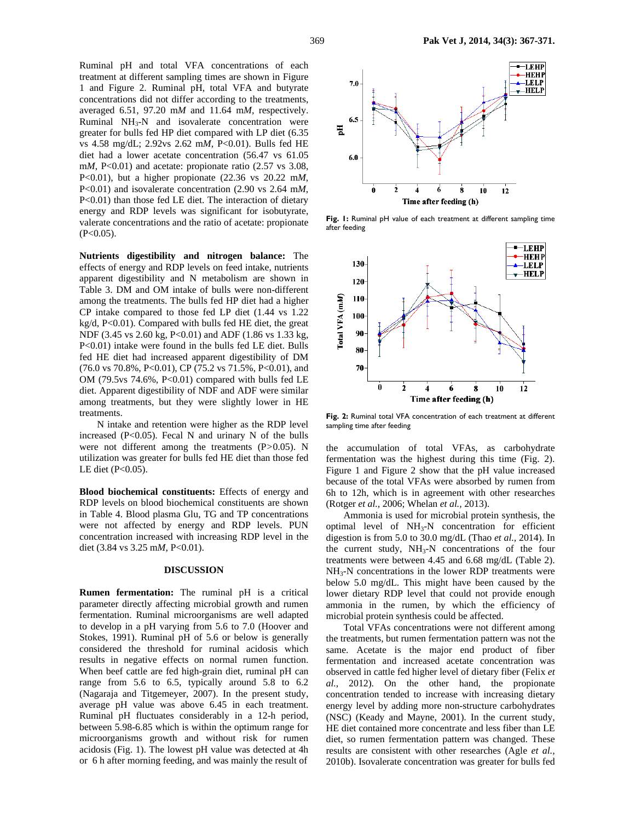Ruminal pH and total VFA concentrations of each treatment at different sampling times are shown in Figure 1 and Figure 2. Ruminal pH, total VFA and butyrate concentrations did not differ according to the treatments, averaged 6.51, 97.20 m*M* and 11.64 m*M,* respectively. Ruminal  $NH<sub>3</sub>-N$  and isovalerate concentration were greater for bulls fed HP diet compared with LP diet (6.35 vs 4.58 mg/dL; 2.92vs 2.62 m*M*, P<0.01). Bulls fed HE diet had a lower acetate concentration (56.47 vs 61.05 m*M*, P<0.01) and acetate: propionate ratio (2.57 vs 3.08, P<0.01), but a higher propionate (22.36 vs 20.22 m*M*, P<0.01) and isovalerate concentration (2.90 vs 2.64 m*M*, P<0.01) than those fed LE diet. The interaction of dietary energy and RDP levels was significant for isobutyrate, valerate concentrations and the ratio of acetate: propionate  $(P<0.05)$ .

**Nutrients digestibility and nitrogen balance:** The effects of energy and RDP levels on feed intake, nutrients apparent digestibility and N metabolism are shown in Table 3. DM and OM intake of bulls were non-different among the treatments. The bulls fed HP diet had a higher CP intake compared to those fed LP diet (1.44 vs 1.22 kg/d, P<0.01). Compared with bulls fed HE diet, the great NDF (3.45 vs 2.60 kg, P<0.01) and ADF (1.86 vs 1.33 kg, P<0.01) intake were found in the bulls fed LE diet. Bulls fed HE diet had increased apparent digestibility of DM  $(76.0 \text{ vs } 70.8\%, P<0.01), CP (75.2 \text{ vs } 71.5\%, P<0.01), and$ OM (79.5 $vs$  74.6%, P<0.01) compared with bulls fed LE diet. Apparent digestibility of NDF and ADF were similar among treatments, but they were slightly lower in HE treatments.

N intake and retention were higher as the RDP level increased  $(P<0.05)$ . Fecal N and urinary N of the bulls were not different among the treatments (P*>*0.05). N utilization was greater for bulls fed HE diet than those fed LE diet (P<0.05).

**Blood biochemical constituents:** Effects of energy and RDP levels on blood biochemical constituents are shown in Table 4. Blood plasma Glu, TG and TP concentrations were not affected by energy and RDP levels. PUN concentration increased with increasing RDP level in the diet (3.84 vs 3.25 m*M*, P<0.01).

#### **DISCUSSION**

**Rumen fermentation:** The ruminal pH is a critical parameter directly affecting microbial growth and rumen fermentation. Ruminal microorganisms are well adapted to develop in a pH varying from 5.6 to 7.0 (Hoover and Stokes, 1991). Ruminal pH of 5.6 or below is generally considered the threshold for ruminal acidosis which results in negative effects on normal rumen function. When beef cattle are fed high-grain diet, ruminal pH can range from 5.6 to 6.5, typically around 5.8 to 6.2 (Nagaraja and Titgemeyer, 2007). In the present study, average pH value was above 6.45 in each treatment. Ruminal pH fluctuates considerably in a 12-h period, between 5.98-6.85 which is within the optimum range for microorganisms growth and without risk for rumen acidosis (Fig. 1). The lowest pH value was detected at 4h or 6 h after morning feeding, and was mainly the result of



**Fig. 1:** Ruminal pH value of each treatment at different sampling time after feeding



**Fig. 2:** Ruminal total VFA concentration of each treatment at different sampling time after feeding

the accumulation of total VFAs, as carbohydrate fermentation was the highest during this time (Fig. 2). Figure 1 and Figure 2 show that the pH value increased because of the total VFAs were absorbed by rumen from 6h to 12h, which is in agreement with other researches (Rotger *et al.,* 2006; Whelan *et al.,* 2013).

Ammonia is used for microbial protein synthesis, the optimal level of NH3-N concentration for efficient digestion is from 5.0 to 30.0 mg/dL (Thao *et al.,* 2014). In the current study,  $NH<sub>3</sub>-N$  concentrations of the four treatments were between 4.45 and 6.68 mg/dL (Table 2).  $NH<sub>3</sub>-N$  concentrations in the lower RDP treatments were below 5.0 mg/dL. This might have been caused by the lower dietary RDP level that could not provide enough ammonia in the rumen, by which the efficiency of microbial protein synthesis could be affected.

Total VFAs concentrations were not different among the treatments, but rumen fermentation pattern was not the same. Acetate is the major end product of fiber fermentation and increased acetate concentration was observed in cattle fed higher level of dietary fiber (Felix *et al.,* 2012). On the other hand, the propionate concentration tended to increase with increasing dietary energy level by adding more non-structure carbohydrates (NSC) (Keady and Mayne, 2001). In the current study, HE diet contained more concentrate and less fiber than LE diet, so rumen fermentation pattern was changed. These results are consistent with other researches (Agle *et al.,* 2010b). Isovalerate concentration was greater for bulls fed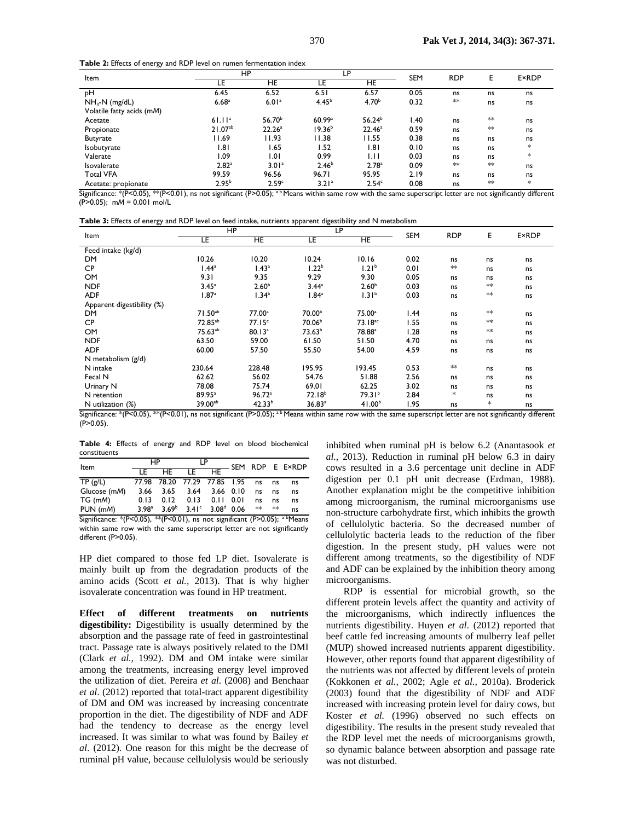**Table 2:** Effects of energy and RDP level on rumen fermentation index

| Item                                                                                                                                                                  | HP                 |                    | LP                |                    | <b>SEM</b> | <b>RDP</b> | Е       | <b>E</b> ×RDP |
|-----------------------------------------------------------------------------------------------------------------------------------------------------------------------|--------------------|--------------------|-------------------|--------------------|------------|------------|---------|---------------|
|                                                                                                                                                                       | LE                 | HE                 | LE                | HE                 |            |            |         |               |
| рH                                                                                                                                                                    | 6.45               | 6.52               | 6.51              | 6.57               | 0.05       | ns         | ns      | ns            |
| $NH3-N$ (mg/dL)                                                                                                                                                       | 6.68 <sup>a</sup>  | 6.01 <sup>a</sup>  | 4.45 <sup>b</sup> | 4.70 <sup>b</sup>  | 0.32       | $**$       | ns      | ns            |
| Volatile fatty acids (mM)                                                                                                                                             |                    |                    |                   |                    |            |            |         |               |
| Acetate                                                                                                                                                               | 61.11 <sup>a</sup> | 56.70 <sup>b</sup> | 60.99a            | 56.24 <sup>b</sup> | .40        | ns         | $*\ast$ | ns            |
| Propionate                                                                                                                                                            | $21.07^{ab}$       | 22.26 <sup>a</sup> | $19.36^{b}$       | 22.46 <sup>a</sup> | 0.59       | ns         | $*\ast$ | ns            |
| <b>Butyrate</b>                                                                                                                                                       | 11.69              | 11.93              | 11.38             | 11.55              | 0.38       | ns         | ns      | ns            |
| Isobutyrate                                                                                                                                                           | 1.81               | 1.65               | 1.52              | 1.81               | 0.10       | ns         | ns      | $\ast$        |
| Valerate                                                                                                                                                              | l.09               | 1.01               | 0.99              | 1.11               | 0.03       | ns         | ns      | *             |
| Isovalerate                                                                                                                                                           | 2.82 <sup>a</sup>  | 3.01 <sup>a</sup>  | 2.46 <sup>b</sup> | 2.78 <sup>a</sup>  | 0.09       | $**$       | $*\ast$ | ns            |
| <b>Total VFA</b>                                                                                                                                                      | 99.59              | 96.56              | 96.71             | 95.95              | 2.19       | ns         | ns      | ns            |
| Acetate: propionate                                                                                                                                                   | 2.95 <sup>b</sup>  | 2.59 <sup>c</sup>  | 3.21 <sup>a</sup> | 2.54 <sup>c</sup>  | 0.08       | ns         | $*$     | $\ast$        |
| Significance: *(BCO,05) **(BCO,01), no not cignificant (BN),05); <sup>ab</sup> Means within same row with the same superscript letter are not cignificantly different |                    |                    |                   |                    |            |            |         |               |

 $\cdot$ (P<0.01), ns not significant (P>0.05);  $^{\text{a b}}$  Means within same row with the same superscript letter are not significantly different (P>0.05); m*M* = 0.001 mol/L

**Table 3:** Effects of energy and RDP level on feed intake, nutrients apparent digestibility and N metabolism

| Item                       | HP                  |                    | LP                 |                     |            | <b>RDP</b> | Е          |               |
|----------------------------|---------------------|--------------------|--------------------|---------------------|------------|------------|------------|---------------|
|                            | LE                  | HE                 | LE                 | HE                  | <b>SEM</b> |            |            | <b>E</b> ×RDP |
| Feed intake (kg/d)         |                     |                    |                    |                     |            |            |            |               |
| <b>DM</b>                  | 10.26               | 10.20              | 10.24              | 10.16               | 0.02       | ns         | ns         | ns            |
| <b>CP</b>                  | 1.44 <sup>a</sup>   | 1.43 <sup>a</sup>  | 1.22 <sup>b</sup>  | 1.21 <sup>b</sup>   | 0.01       | $**$       | ns         | ns            |
| OM                         | 9.31                | 9.35               | 9.29               | 9.30                | 0.05       | ns         | ns         | ns            |
| <b>NDF</b>                 | 3.45 <sup>a</sup>   | 2.60 <sup>b</sup>  | $3.44^a$           | 2.60 <sup>b</sup>   | 0.03       | ns         | $**$       | ns            |
| <b>ADF</b>                 | 1.87 <sup>a</sup>   | 1.34 <sup>b</sup>  | 1.84 <sup>a</sup>  | 1.31 <sup>b</sup>   | 0.03       | ns         | $\ast\ast$ | ns            |
| Apparent digestibility (%) |                     |                    |                    |                     |            |            |            |               |
| <b>DM</b>                  | $71.50^{ab}$        | 77.00 <sup>a</sup> | 70.00 <sup>b</sup> | 75.00 <sup>a</sup>  | 1.44       | ns         | $\ast\ast$ | ns            |
| <b>CP</b>                  | 72.85 <sup>ab</sup> | 77.15 <sup>c</sup> | 70.06 <sup>b</sup> | 73.18 <sup>ac</sup> | 1.55       | ns         | $\ast\ast$ | ns            |
| OM                         | 75.63ab             | 80.13 <sup>a</sup> | 73.63 <sup>b</sup> | 78.88 <sup>a</sup>  | 1.28       | ns         | $**$       | ns            |
| <b>NDF</b>                 | 63.50               | 59.00              | 61.50              | 51.50               | 4.70       | ns         | ns         | ns            |
| <b>ADF</b>                 | 60.00               | 57.50              | 55.50              | 54.00               | 4.59       | ns         | ns         | ns            |
| N metabolism $(g/d)$       |                     |                    |                    |                     |            |            |            |               |
| N intake                   | 230.64              | 228.48             | 195.95             | 193.45              | 0.53       | $**$       | ns         | ns            |
| Fecal N                    | 62.62               | 56.02              | 54.76              | 51.88               | 2.56       | ns         | ns         | ns            |
| Urinary N                  | 78.08               | 75.74              | 69.01              | 62.25               | 3.02       | ns         | ns         | ns            |
| N retention                | 89.95 <sup>a</sup>  | 96.72a             | 72.18 <sup>b</sup> | 79.31 <sup>b</sup>  | 2.84       | *          | ns         | ns            |
| N utilization (%)          | 39.00 <sup>ab</sup> | 42.33 <sup>b</sup> | 36.83a             | 41.00 <sup>b</sup>  | 1.95       | ns         | *          | ns            |

Significance: \*(P<0.05), \*\*(P<0.01), ns not significant (P>0.05); <sup>a b</sup> Means within same row with the same superscript letter are not significantly different (P>0.05).

**Table 4:** Effects of energy and RDP level on blood biochemical constituents

| Item         | HP                |                              | LP                |                   |      |     | - SEM RDP E E×RDP |
|--------------|-------------------|------------------------------|-------------------|-------------------|------|-----|-------------------|
|              | LE.               | HF.                          | ΤF                | HF                |      |     |                   |
| TP(g/L)      |                   | 77.98 78.20 77.29 77.85 1.95 |                   |                   | ns   | ns  | ns                |
| Glucose (mM) | 3.66              | 3.65                         | 3.64              | 3.66 0.10         | ns   | ns  | ns                |
| TG (mM)      | 0.13              | 0.12                         | 0.13              | $0.11 \quad 0.01$ | ns   | ns  | ns                |
| $PUN$ (mM)   | 3.98 <sup>a</sup> | 3.69 <sup>b</sup>            | 3.41 <sup>c</sup> | $3.08^d$ 0.06     | $**$ | $*$ | ns                |

Significance: \*(P<0.05), \*\*(P<0.01), ns not significant (P>0.05);  $a^{b}$ Means within same row with the same superscript letter are not significantly different (P>0.05).

HP diet compared to those fed LP diet. Isovalerate is mainly built up from the degradation products of the amino acids (Scott *et al.,* 2013). That is why higher isovalerate concentration was found in HP treatment.

**Effect of different treatments on nutrients digestibility:** Digestibility is usually determined by the absorption and the passage rate of feed in gastrointestinal tract. Passage rate is always positively related to the DMI (Clark *et al.,* 1992). DM and OM intake were similar among the treatments, increasing energy level improved the utilization of diet. Pereira *et al*. (2008) and Benchaar *et al*. (2012) reported that total-tract apparent digestibility of DM and OM was increased by increasing concentrate proportion in the diet. The digestibility of NDF and ADF had the tendency to decrease as the energy level increased. It was similar to what was found by Bailey *et al*. (2012). One reason for this might be the decrease of ruminal pH value, because cellulolysis would be seriously

inhibited when ruminal pH is below 6.2 (Anantasook *et al.,* 2013). Reduction in ruminal pH below 6.3 in dairy cows resulted in a 3.6 percentage unit decline in ADF digestion per 0.1 pH unit decrease (Erdman, 1988). Another explanation might be the competitive inhibition among microorganism, the ruminal microorganisms use non-structure carbohydrate first, which inhibits the growth of cellulolytic bacteria. So the decreased number of cellulolytic bacteria leads to the reduction of the fiber digestion. In the present study, pH values were not different among treatments, so the digestibility of NDF and ADF can be explained by the inhibition theory among microorganisms.

RDP is essential for microbial growth, so the different protein levels affect the quantity and activity of the microorganisms, which indirectly influences the nutrients digestibility. Huyen *et al*. (2012) reported that beef cattle fed increasing amounts of mulberry leaf pellet (MUP) showed increased nutrients apparent digestibility. However, other reports found that apparent digestibility of the nutrients was not affected by different levels of protein (Kokkonen *et al.,* 2002; Agle *et al.,* 2010a). Broderick (2003) found that the digestibility of NDF and ADF increased with increasing protein level for dairy cows, but Koster *et al.* (1996) observed no such effects on digestibility. The results in the present study revealed that the RDP level met the needs of microorganisms growth, so dynamic balance between absorption and passage rate was not disturbed.